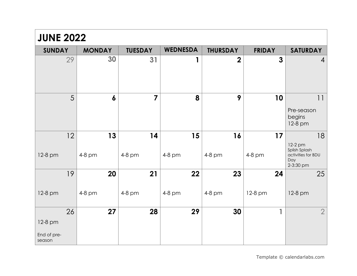| <b>JUNE 2022</b>      |                  |                |                 |                 |               |                                                                    |  |
|-----------------------|------------------|----------------|-----------------|-----------------|---------------|--------------------------------------------------------------------|--|
| <b>SUNDAY</b>         | <b>MONDAY</b>    | <b>TUESDAY</b> | <b>WEDNESDA</b> | <b>THURSDAY</b> | <b>FRIDAY</b> | <b>SATURDAY</b>                                                    |  |
| 29                    | 30               | 31             | 1               | $\mathbf 2$     | 3             | $\overline{4}$                                                     |  |
| 5                     | $\boldsymbol{6}$ | $\overline{7}$ | 8               | 9               | 10            | 11<br>Pre-season<br>begins<br>12-8 pm                              |  |
| 12                    | 13               | 14             | 15              | 16              | 17            | 18                                                                 |  |
| 12-8 pm               | 4-8 pm           | 4-8 pm         | 4-8 pm          | 4-8 pm          | 4-8 pm        | 12-2 pm<br>Splish Splash<br>activities for BDU<br>Day<br>2-3:30 pm |  |
| 19                    | 20               | 21             | 22              | 23              | 24            | 25                                                                 |  |
| 12-8 pm               | 4-8 pm           | 4-8 pm         | 4-8 pm          | 4-8 pm          | 12-8 pm       | 12-8 pm                                                            |  |
| 26                    | 27               | 28             | 29              | 30              | 1             | $\overline{2}$                                                     |  |
| 12-8 pm               |                  |                |                 |                 |               |                                                                    |  |
| End of pre-<br>season |                  |                |                 |                 |               |                                                                    |  |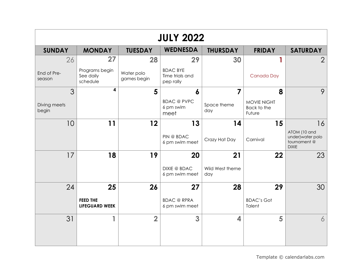| <b>JULY 2022</b>      |                                          |                           |                                                 |                        |                                      |                                                                  |  |
|-----------------------|------------------------------------------|---------------------------|-------------------------------------------------|------------------------|--------------------------------------|------------------------------------------------------------------|--|
| <b>SUNDAY</b>         | <b>MONDAY</b>                            | <b>TUESDAY</b>            | <b>WEDNESDA</b>                                 | <b>THURSDAY</b>        | <b>FRIDAY</b>                        | <b>SATURDAY</b>                                                  |  |
| 26                    | 27                                       | 28                        | 29                                              | 30                     |                                      | $\overline{2}$                                                   |  |
| End of Pre-<br>season | Programs begin<br>See daily<br>schedule  | Water polo<br>games begin | <b>BDAC BYE</b><br>Time trials and<br>pep rally |                        | Canada Day                           |                                                                  |  |
| 3                     | 4                                        | 5                         | 6                                               | $\overline{7}$         | 8                                    | 9                                                                |  |
| Diving meets<br>begin |                                          |                           | <b>BDAC</b> @ PVPC<br>6 pm swim<br>meet         | Space theme<br>day     | MOVIE NIGHT<br>Back to the<br>Future |                                                                  |  |
| 10                    | 11                                       | 12                        | 13                                              | 14                     | 15                                   | 16                                                               |  |
|                       |                                          |                           | PIN @ BDAC<br>6 pm swim meet                    | Crazy Hat Day          | Carnival                             | ATOM (10 and<br>under) water polo<br>tournament@<br><b>DIXIE</b> |  |
| 17                    | 18                                       | 19                        | <b>20</b>                                       | 21                     | 22                                   | 23                                                               |  |
|                       |                                          |                           | <b>DIXIE @ BDAC</b><br>6 pm swim meet           | Wild West theme<br>day |                                      |                                                                  |  |
| 24                    | 25                                       | 26                        | 27                                              | 28                     | 29                                   | 30                                                               |  |
|                       | <b>FEED THE</b><br><b>LIFEGUARD WEEK</b> |                           | <b>BDAC</b> @ RPRA<br>6 pm swim meet            |                        | <b>BDAC's Got</b><br>Talent          |                                                                  |  |
| 31                    | 1                                        | $\overline{2}$            | 3                                               | 4                      | 5                                    | $\overline{6}$                                                   |  |
|                       |                                          |                           |                                                 |                        |                                      |                                                                  |  |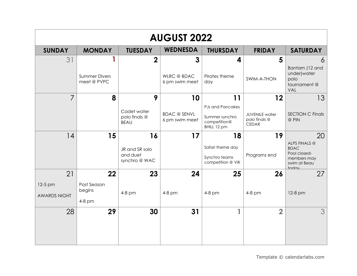| <b>AUGUST 2022</b>  |                                     |                              |                                       |                                               |                                                        |                                                              |  |
|---------------------|-------------------------------------|------------------------------|---------------------------------------|-----------------------------------------------|--------------------------------------------------------|--------------------------------------------------------------|--|
| <b>SUNDAY</b>       | <b>MONDAY</b>                       | <b>TUESDAY</b>               | <b>WEDNESDA</b>                       | <b>THURSDAY</b>                               | <b>FRIDAY</b>                                          | <b>SATURDAY</b>                                              |  |
| 31                  | 1                                   | $\overline{2}$               | 3                                     | 4                                             | 5                                                      | 6                                                            |  |
|                     | <b>Summer Divers</b><br>meet @ PVPC |                              | <b>WLRC</b> @ BDAC<br>6 pm swim meet  | Pirates theme<br>day                          | SWIM-A-THON                                            | Bantam (12 and<br>under) water<br>polo<br>tournament@<br>VAL |  |
| 7                   | 8                                   | 9                            | 10                                    | 11                                            | 12                                                     | 13                                                           |  |
|                     |                                     | Cadet water                  |                                       | <b>PJs and Pancakes</b>                       |                                                        |                                                              |  |
|                     |                                     | polo finals @<br><b>BEAU</b> | <b>BDAC @ SENVL</b><br>6 pm swim meet | Summer synchro<br>competition@<br>BHILL 12 pm | <b>JUVENILE</b> water<br>polo finals @<br><b>CEDAR</b> | <b>SECTION C Finals</b><br>@ PIN                             |  |
| 14                  | 15                                  | 16                           | 17                                    | 18                                            | 19                                                     | 20                                                           |  |
|                     |                                     | JR and SR solo               |                                       | Safari theme day                              |                                                        | ALPS FINALS @<br><b>BDAC</b>                                 |  |
|                     |                                     | and duet<br>synchro @ WAC    |                                       | Synchro teams<br>competition @ VIK            | Programs end                                           | Pool closed-<br>members may<br>swim at Beau<br>today         |  |
| 21                  | 22                                  | 23                           | 24                                    | 25                                            | 26                                                     | 27                                                           |  |
| 12-5 pm             | Post Season                         |                              |                                       |                                               |                                                        |                                                              |  |
| <b>AWARDS NIGHT</b> | begins                              | 4-8 pm                       | 4-8 pm                                | $4-8$ pm                                      | $4-8$ pm                                               | 12-8 pm                                                      |  |
|                     | 4-8 pm                              |                              |                                       |                                               |                                                        |                                                              |  |
| 28                  | 29                                  | 30                           | 31                                    | 1                                             | $\overline{2}$                                         | 3 <sup>1</sup>                                               |  |
|                     |                                     |                              |                                       |                                               |                                                        |                                                              |  |
|                     |                                     |                              |                                       |                                               |                                                        |                                                              |  |
|                     |                                     |                              |                                       |                                               |                                                        |                                                              |  |